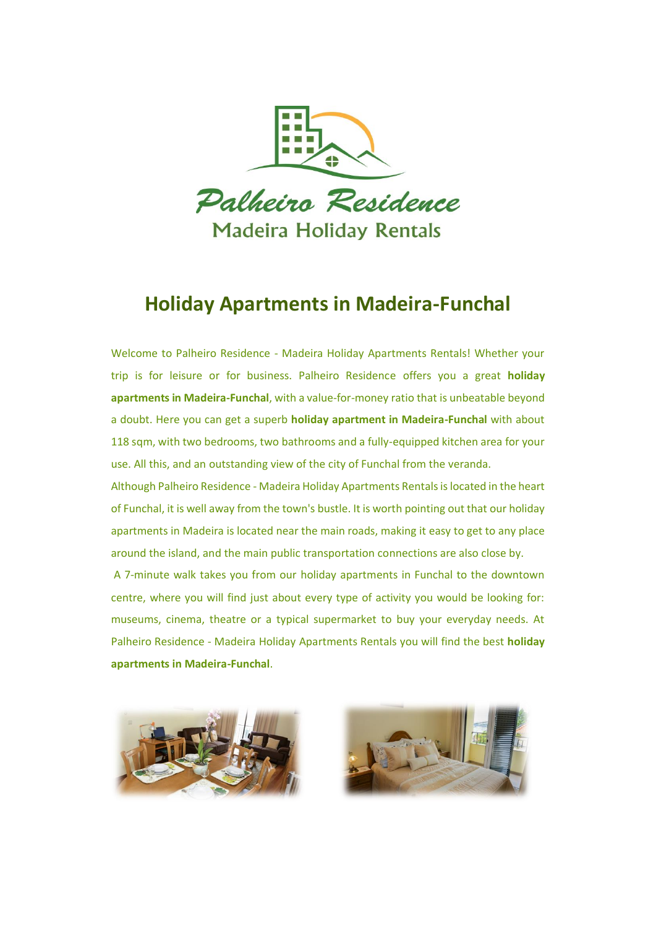

## **Holiday Apartments in Madeira-Funchal**

Welcome to Palheiro Residence - Madeira Holiday Apartments Rentals! Whether your trip is for leisure or for business. Palheiro Residence offers you a great **holiday apartments in Madeira-Funchal**, with a value-for-money ratio that is unbeatable beyond a doubt. Here you can get a superb **holiday apartment in Madeira-Funchal** with about 118 sqm, with two bedrooms, two bathrooms and a fully-equipped kitchen area for your use. All this, and an outstanding view of the city of Funchal from the veranda.

Although Palheiro Residence - Madeira Holiday Apartments Rentals is located in the heart of Funchal, it is well away from the town's bustle. It is worth pointing out that our holiday apartments in Madeira is located near the main roads, making it easy to get to any place around the island, and the main public transportation connections are also close by.

A 7-minute walk takes you from our holiday apartments in Funchal to the downtown centre, where you will find just about every type of activity you would be looking for: museums, cinema, theatre or a typical supermarket to buy your everyday needs. At Palheiro Residence - Madeira Holiday Apartments Rentals you will find the best **holiday apartments in Madeira-Funchal**.